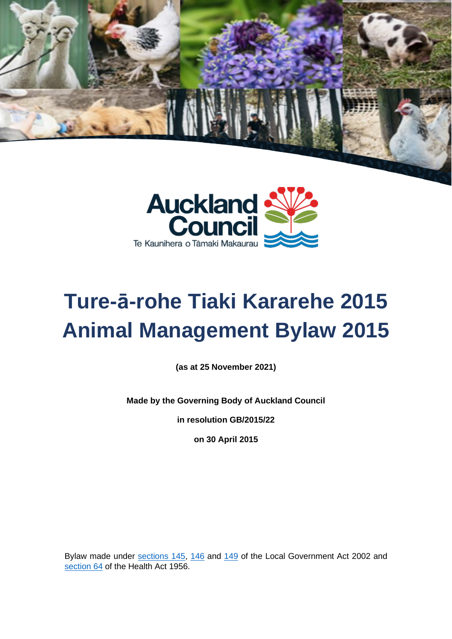



# **Ture-ā-rohe Tiaki Kararehe 2015 Animal Management Bylaw 2015**

**(as at 25 November 2021)**

**Made by the Governing Body of Auckland Council**

**in resolution GB/2015/22**

**on 30 April 2015**

Bylaw made under [sections 145,](http://www.legislation.govt.nz/act/public/2002/0084/latest/DLM172978.html) [146](http://www.legislation.govt.nz/act/public/2002/0084/latest/DLM172979.html) and [149](http://www.legislation.govt.nz/act/public/2002/0084/173.0/DLM172988.html) of the Local Government Act 2002 and [section 64](http://www.legislation.govt.nz/act/public/1956/0065/latest/DLM307053.html?search=qs_act%40bill%40regulation%40deemedreg_health+act_resel_25_h&p=1) of the Health Act 1956.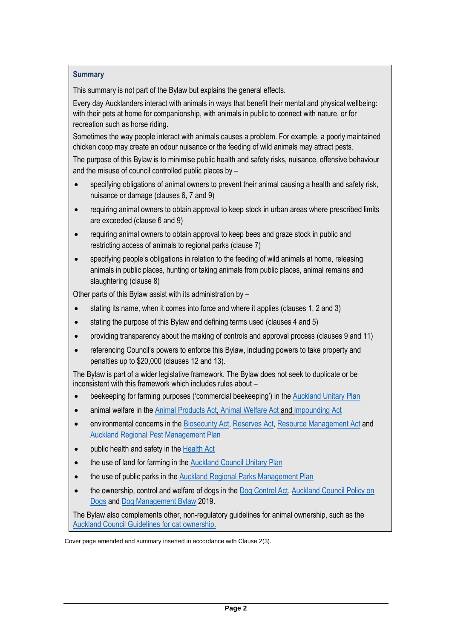## **Summary**

This summary is not part of the Bylaw but explains the general effects.

Every day Aucklanders interact with animals in ways that benefit their mental and physical wellbeing: with their pets at home for companionship, with animals in public to connect with nature, or for recreation such as horse riding.

Sometimes the way people interact with animals causes a problem. For example, a poorly maintained chicken coop may create an odour nuisance or the feeding of wild animals may attract pests.

The purpose of this Bylaw is to minimise public health and safety risks, nuisance, offensive behaviour and the misuse of council controlled public places by –

- specifying obligations of animal owners to prevent their animal causing a health and safety risk, nuisance or damage (clauses 6, 7 and 9)
- requiring animal owners to obtain approval to keep stock in urban areas where prescribed limits are exceeded (clause 6 and 9)
- requiring animal owners to obtain approval to keep bees and graze stock in public and restricting access of animals to regional parks (clause 7)
- specifying people's obligations in relation to the feeding of wild animals at home, releasing animals in public places, hunting or taking animals from public places, animal remains and slaughtering (clause 8)

Other parts of this Bylaw assist with its administration by –

- stating its name, when it comes into force and where it applies (clauses 1, 2 and 3)
- stating the purpose of this Bylaw and defining terms used (clauses 4 and 5)
- providing transparency about the making of controls and approval process (clauses 9 and 11)
- referencing Council's powers to enforce this Bylaw, including powers to take property and penalties up to \$20,000 (clauses 12 and 13).

The Bylaw is part of a wider legislative framework. The Bylaw does not seek to duplicate or be inconsistent with this framework which includes rules about –

- beekeeping for farming purposes ('commercial beekeeping') in the [Auckland Unitary Plan](https://unitaryplan.aucklandcouncil.govt.nz/pages/plan/Book.aspx?exhibit=AucklandUnitaryPlan_Print)
- animal welfare in the [Animal Products Act,](https://www.legislation.govt.nz/act/public/1999/0093/latest/whole.html) [Animal Welfare Act](https://www.legislation.govt.nz/act/public/1999/0142/latest/DLM49664.html) and Impounding Act
- environmental concerns in the [Biosecurity Act,](https://www.legislation.govt.nz/act/public/1993/0095/latest/DLM314623.html) [Reserves Act,](https://www.legislation.govt.nz/act/public/1977/0066/latest/DLM444305.html) [Resource Management Act](https://www.legislation.govt.nz/act/public/1991/0069/latest/DLM230265.html) and [Auckland Regional Pest Management Plan](https://www.aucklandcouncil.govt.nz/plans-projects-policies-reports-bylaws/our-plans-strategies/topic-based-plans-strategies/environmental-plans-strategies/docsregionalpestmanagementstrategy/auckland-regional-pest-management-plan-2020-2030.pdf)
- public health and safety in the Health Act
- the use of land for farming in the [Auckland Council Unitary Plan](https://www.aucklandcouncil.govt.nz/plans-projects-policies-reports-bylaws/our-plans-strategies/unitary-plan/Pages/default.aspx)
- the use of public parks in the [Auckland Regional Parks Management Plan](https://www.aucklandcouncil.govt.nz/plans-projects-policies-reports-bylaws/our-plans-strategies/topic-based-plans-strategies/parks-sports-outdoor-plans/Documents/regional-parks-management-plan.pdf)
- the ownership, control and welfare of dogs in th[e Dog Control Act,](https://www.legislation.govt.nz/act/public/1996/0013/latest/DLM374410.html) Auckland Council Policy on [Dogs](https://www.aucklandcouncil.govt.nz/plans-projects-policies-reports-bylaws/our-policies/Pages/policy-on-dogs.aspx) and [Dog Management Bylaw](https://www.aucklandcouncil.govt.nz/plans-projects-policies-reports-bylaws/bylaws/Documents/dog-management-bylaw-2019.pdf) 2019.

The Bylaw also complements other, non-regulatory guidelines for animal ownership, such as the [Auckland Council Guidelines for cat ownership.](https://www.aucklandcouncil.govt.nz/dogs-animals/keeping-other-animals/keeping-cats/Documents/guidelines-cat-ownership-welfare.pdf)

Cover page amended and summary inserted in accordance with Clause 2(3).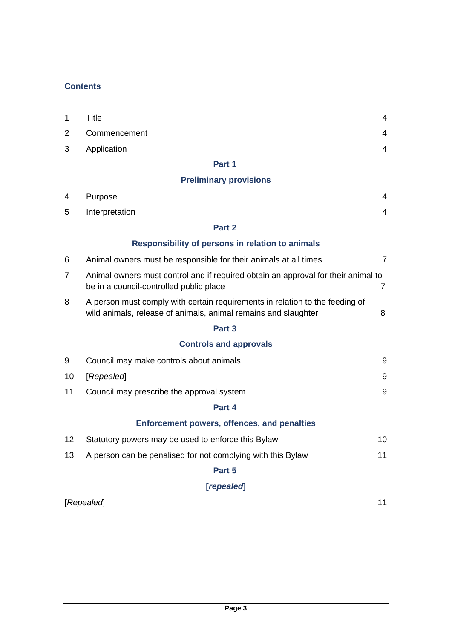## **Contents**

| $\mathbf{1}$ | Title          |  |
|--------------|----------------|--|
|              | 2 Commencement |  |
|              | 3 Application  |  |

## **Part 1**

# **Preliminary provisions**

| $\overline{4}$ | Purpose                                                                                                                                        | 4              |
|----------------|------------------------------------------------------------------------------------------------------------------------------------------------|----------------|
| 5              | Interpretation                                                                                                                                 | $\overline{4}$ |
|                | Part 2                                                                                                                                         |                |
|                | <b>Responsibility of persons in relation to animals</b>                                                                                        |                |
| 6              | Animal owners must be responsible for their animals at all times                                                                               | $\overline{7}$ |
| $\overline{7}$ | Animal owners must control and if required obtain an approval for their animal to<br>be in a council-controlled public place                   | $\overline{7}$ |
| 8              | A person must comply with certain requirements in relation to the feeding of<br>wild animals, release of animals, animal remains and slaughter | 8              |
|                | Part 3                                                                                                                                         |                |
|                | <b>Controls and approvals</b>                                                                                                                  |                |
| 9              | Council may make controls about animals                                                                                                        | 9              |
| 10             | [Repealed]                                                                                                                                     | 9              |
| 11             | Council may prescribe the approval system                                                                                                      | 9              |
|                | Part 4                                                                                                                                         |                |
|                | <b>Enforcement powers, offences, and penalties</b>                                                                                             |                |
| 12             | Statutory powers may be used to enforce this Bylaw                                                                                             | 10             |
| 13             | A person can be penalised for not complying with this Bylaw                                                                                    | 11             |
|                | Part 5                                                                                                                                         |                |
|                | [repealed]                                                                                                                                     |                |
|                | [Repealed]                                                                                                                                     | 11             |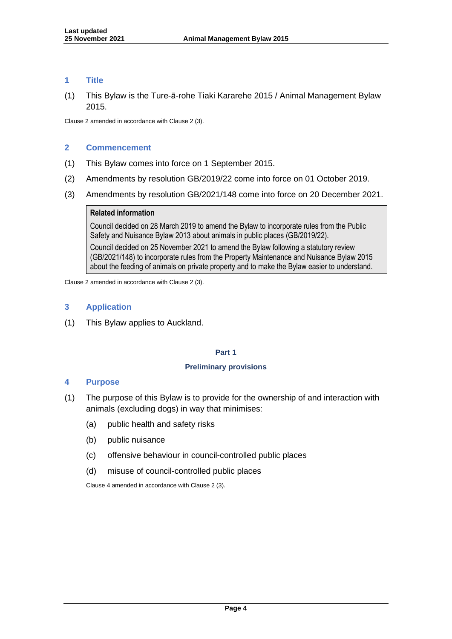#### **1 Title**

(1) This Bylaw is the Ture-ā-rohe Tiaki Kararehe 2015 / Animal Management Bylaw 2015.

Clause 2 amended in accordance with Clause 2 (3).

#### **2 Commencement**

- (1) This Bylaw comes into force on 1 September 2015.
- (2) Amendments by resolution GB/2019/22 come into force on 01 October 2019.
- (3) Amendments by resolution GB/2021/148 come into force on 20 December 2021.

#### **Related information**

Council decided on 28 March 2019 to amend the Bylaw to incorporate rules from the Public Safety and Nuisance Bylaw 2013 about animals in public places (GB/2019/22).

Council decided on 25 November 2021 to amend the Bylaw following a statutory review (GB/2021/148) to incorporate rules from the Property Maintenance and Nuisance Bylaw 2015 about the feeding of animals on private property and to make the Bylaw easier to understand.

Clause 2 amended in accordance with Clause 2 (3).

#### **3 Application**

(1) This Bylaw applies to Auckland.

#### **Part 1**

#### **Preliminary provisions**

#### **4 Purpose**

- (1) The purpose of this Bylaw is to provide for the ownership of and interaction with animals (excluding dogs) in way that minimises:
	- (a) public health and safety risks
	- (b) public nuisance
	- (c) offensive behaviour in council-controlled public places
	- (d) misuse of council-controlled public places

Clause 4 amended in accordance with Clause 2 (3).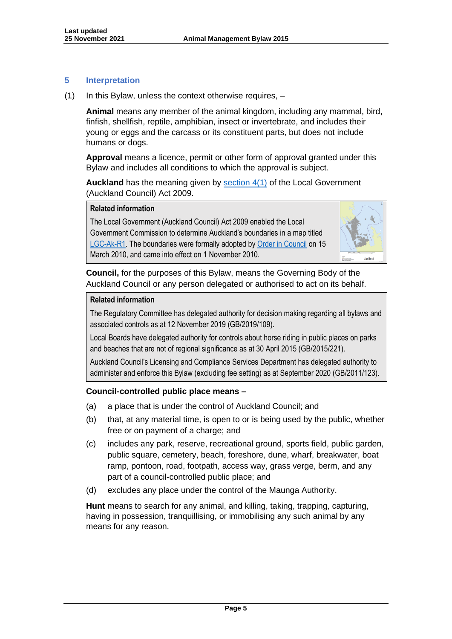## **5 Interpretation**

 $(1)$  In this Bylaw, unless the context otherwise requires,  $-$ 

**Animal** means any member of the animal kingdom, including any mammal, bird, finfish, shellfish, reptile, amphibian, insect or invertebrate, and includes their young or eggs and the carcass or its constituent parts, but does not include humans or dogs.

**Approval** means a licence, permit or other form of approval granted under this Bylaw and includes all conditions to which the approval is subject.

**Auckland** has the meaning given by [section 4\(1\)](http://www.legislation.govt.nz/act/public/2009/0032/latest/DLM2044916.html) of the Local Government (Auckland Council) Act 2009.

## **Related information**

The Local Government (Auckland Council) Act 2009 enabled the Local Government Commission to determine Auckland's boundaries in a map titled [LGC-Ak-R1.](http://www.lgc.govt.nz/assets/Auckland-Governance/LGC-Ak-R1-Auckland-Region.pdf) The boundaries were formally adopted by [Order in Council](https://www.dia.govt.nz/pubforms.nsf/NZGZT/NZGazette31Mar10.pdf/$file/NZGazette31Mar10.pdf#page=69) on 15 March 2010, and came into effect on 1 November 2010.



**Council,** for the purposes of this Bylaw, means the Governing Body of the Auckland Council or any person delegated or authorised to act on its behalf.

## **Related information**

The Regulatory Committee has delegated authority for decision making regarding all bylaws and associated controls as at 12 November 2019 (GB/2019/109).

Local Boards have delegated authority for controls about horse riding in public places on parks and beaches that are not of regional significance as at 30 April 2015 (GB/2015/221).

Auckland Council's Licensing and Compliance Services Department has delegated authority to administer and enforce this Bylaw (excluding fee setting) as at September 2020 (GB/2011/123).

## **Council-controlled public place means –**

- (a) a place that is under the control of Auckland Council; and
- (b) that, at any material time, is open to or is being used by the public, whether free or on payment of a charge; and
- (c) includes any park, reserve, recreational ground, sports field, public garden, public square, cemetery, beach, foreshore, dune, wharf, breakwater, boat ramp, pontoon, road, footpath, access way, grass verge, berm, and any part of a council-controlled public place; and
- (d) excludes any place under the control of the Maunga Authority.

**Hunt** means to search for any animal, and killing, taking, trapping, capturing, having in possession, tranquillising, or immobilising any such animal by any means for any reason.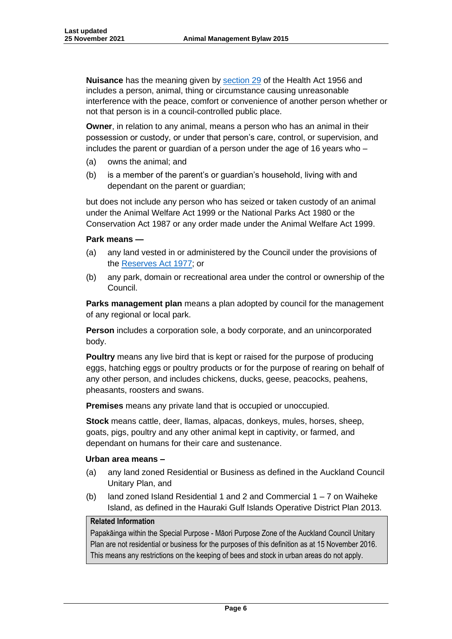**Nuisance** has the meaning given by [section 29](http://www.legislation.govt.nz/act/public/1956/0065/latest/DLM306934.html?search=sw_096be8ed8174fefd_nuisance_25_se&p=1&sr=2) of the Health Act 1956 and includes a person, animal, thing or circumstance causing unreasonable interference with the peace, comfort or convenience of another person whether or not that person is in a council-controlled public place.

**Owner**, in relation to any animal, means a person who has an animal in their possession or custody, or under that person's care, control, or supervision, and includes the parent or guardian of a person under the age of 16 years who –

- (a) owns the animal; and
- (b) is a member of the parent's or guardian's household, living with and dependant on the parent or guardian;

but does not include any person who has seized or taken custody of an animal under the Animal Welfare Act 1999 or the National Parks Act 1980 or the Conservation Act 1987 or any order made under the Animal Welfare Act 1999.

#### **Park means —**

- (a) any land vested in or administered by the Council under the provisions of the [Reserves Act 1977;](https://www.legislation.govt.nz/act/public/1977/0066/latest/DLM444305.html) or
- (b) any park, domain or recreational area under the control or ownership of the Council.

**Parks management plan** means a plan adopted by council for the management of any regional or local park.

**Person** includes a corporation sole, a body corporate, and an unincorporated body.

**Poultry** means any live bird that is kept or raised for the purpose of producing eggs, hatching eggs or poultry products or for the purpose of rearing on behalf of any other person, and includes chickens, ducks, geese, peacocks, peahens, pheasants, roosters and swans.

**Premises** means any private land that is occupied or unoccupied.

**Stock** means cattle, deer, llamas, alpacas, donkeys, mules, horses, sheep, goats, pigs, poultry and any other animal kept in captivity, or farmed, and dependant on humans for their care and sustenance.

#### **Urban area means –**

- (a) any land zoned Residential or Business as defined in the Auckland Council Unitary Plan, and
- (b) land zoned Island Residential 1 and 2 and Commercial  $1 7$  on Waiheke Island, as defined in the Hauraki Gulf Islands Operative District Plan 2013.

#### **Related Information**

Papakāinga within the Special Purpose - Māori Purpose Zone of the Auckland Council Unitary Plan are not residential or business for the purposes of this definition as at 15 November 2016. This means any restrictions on the keeping of bees and stock in urban areas do not apply.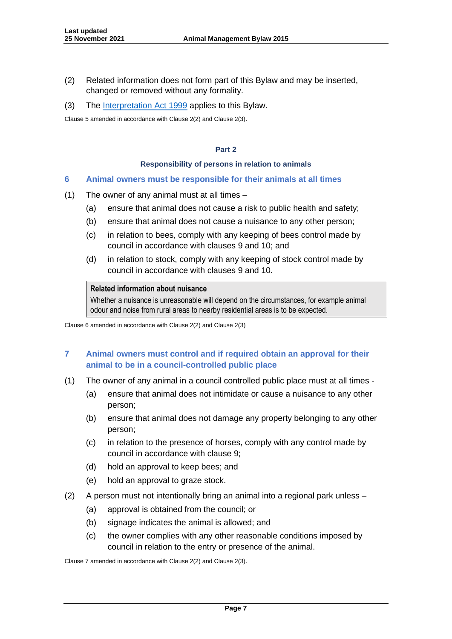- (2) Related information does not form part of this Bylaw and may be inserted, changed or removed without any formality.
- (3) The [Interpretation Act 1999](http://www.legislation.govt.nz/act/public/1999/0085/latest/DLM31459.html) applies to this Bylaw.

Clause 5 amended in accordance with Clause 2(2) and Clause 2(3).

#### **Part 2**

#### **Responsibility of persons in relation to animals**

#### **6 Animal owners must be responsible for their animals at all times**

- (1) The owner of any animal must at all times
	- (a) ensure that animal does not cause a risk to public health and safety;
	- (b) ensure that animal does not cause a nuisance to any other person;
	- (c) in relation to bees, comply with any keeping of bees control made by council in accordance with clauses 9 and 10; and
	- (d) in relation to stock, comply with any keeping of stock control made by council in accordance with clauses 9 and 10.

#### **Related information about nuisance**

Whether a nuisance is unreasonable will depend on the circumstances, for example animal odour and noise from rural areas to nearby residential areas is to be expected.

Clause 6 amended in accordance with Clause 2(2) and Clause 2(3)

## **7 Animal owners must control and if required obtain an approval for their animal to be in a council-controlled public place**

- (1) The owner of any animal in a council controlled public place must at all times
	- (a) ensure that animal does not intimidate or cause a nuisance to any other person;
	- (b) ensure that animal does not damage any property belonging to any other person;
	- (c) in relation to the presence of horses, comply with any control made by council in accordance with clause 9;
	- (d) hold an approval to keep bees; and
	- (e) hold an approval to graze stock.
- (2) A person must not intentionally bring an animal into a regional park unless
	- (a) approval is obtained from the council; or
	- (b) signage indicates the animal is allowed; and
	- (c) the owner complies with any other reasonable conditions imposed by council in relation to the entry or presence of the animal.

Clause 7 amended in accordance with Clause 2(2) and Clause 2(3).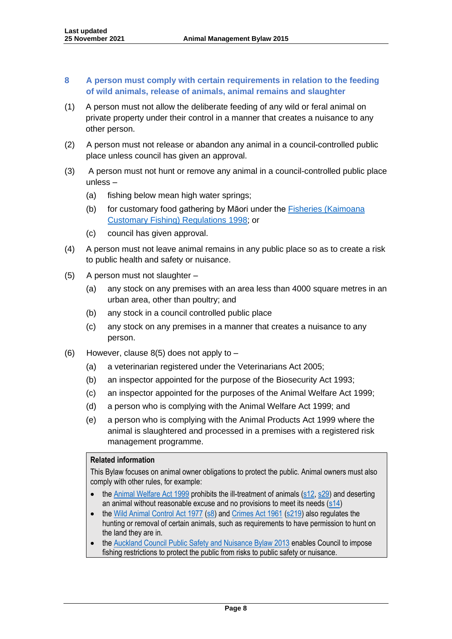## **8 A person must comply with certain requirements in relation to the feeding of wild animals, release of animals, animal remains and slaughter**

- (1) A person must not allow the deliberate feeding of any wild or feral animal on private property under their control in a manner that creates a nuisance to any other person.
- (2) A person must not release or abandon any animal in a council-controlled public place unless council has given an approval.
- (3) A person must not hunt or remove any animal in a council-controlled public place unless –
	- (a) fishing below mean high water springs;
	- (b) for customary food gathering by Māori under the [Fisheries \(Kaimoana](https://www.legislation.govt.nz/regulation/public/1998/0434/latest/DLM267987.html)  [Customary Fishing\) Regulations 1998;](https://www.legislation.govt.nz/regulation/public/1998/0434/latest/DLM267987.html) or
	- (c) council has given approval.
- (4) A person must not leave animal remains in any public place so as to create a risk to public health and safety or nuisance.
- (5) A person must not slaughter
	- (a) any stock on any premises with an area less than 4000 square metres in an urban area, other than poultry; and
	- (b) any stock in a council controlled public place
	- (c) any stock on any premises in a manner that creates a nuisance to any person.
- (6) However, clause  $8(5)$  does not apply to  $-$ 
	- (a) a veterinarian registered under the [Veterinarians Act 2005;](https://www.legislation.govt.nz/act/public/2005/0126/latest/dlm363859.html)
	- (b) an inspector appointed for the purpose of the [Biosecurity Act 1993;](https://www.legislation.govt.nz/act/public/1993/0095/latest/DLM314623.html)
	- (c) an inspector appointed for the purposes of the [Animal Welfare Act 1999;](https://www.legislation.govt.nz/act/public/1999/0142/latest/DLM49664.html)
	- (d) a person who is complying with the [Animal Welfare Act 1999;](https://www.legislation.govt.nz/act/public/1999/0142/latest/DLM49664.html) and
	- (e) a person who is complying with the [Animal Products Act 1999](https://www.legislation.govt.nz/act/public/1999/0093/latest/whole.html) where the animal is slaughtered and processed in a premises with a registered risk management programme.

#### **Related information**

This Bylaw focuses on animal owner obligations to protect the public. Animal owners must also comply with other rules, for example:

- the [Animal Welfare Act 1999](https://www.legislation.govt.nz/act/public/1999/0142/latest/DLM49664.html) prohibits the ill-treatment of animals [\(s12,](https://www.legislation.govt.nz/act/public/1999/0142/latest/DLM50401.html) [s29\)](https://www.legislation.govt.nz/act/public/1999/0142/latest/DLM50430.html) and deserting an animal without reasonable excuse and no provisions to meet its needs [\(s14\)](https://www.legislation.govt.nz/act/public/1999/0142/latest/DLM50404.html)
- the [Wild Animal Control Act 1977](https://www.legislation.govt.nz/act/public/1977/0111/40.0/DLM16623.html) [\(s8\)](https://www.legislation.govt.nz/act/public/1977/0111/40.0/DLM16993.html) an[d Crimes Act 1961](https://www.legislation.govt.nz/act/public/1961/0043/latest/DLM327382.html) [\(s219\)](https://www.legislation.govt.nz/act/public/1961/0043/latest/DLM329897.html) also regulates the hunting or removal of certain animals, such as requirements to have permission to hunt on the land they are in.
- the [Auckland Council Public Safety and Nuisance Bylaw 2013](https://www.aucklandcouncil.govt.nz/plans-projects-policies-reports-bylaws/bylaws/Documents/public-safety-nuisance-bylaw-2013.pdf) enables Council to impose fishing restrictions to protect the public from risks to public safety or nuisance.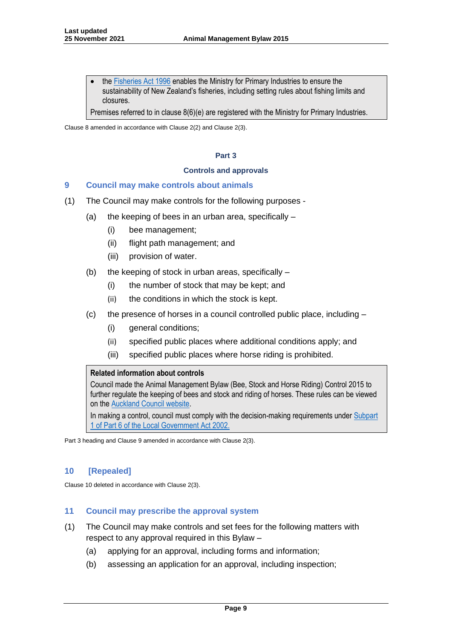the [Fisheries Act 1996](https://www.legislation.govt.nz/act/public/1996/0088/latest/DLM394192.html) enables the Ministry for Primary Industries to ensure the sustainability of New Zealand's fisheries, including setting rules about fishing limits and closures.

Premises referred to in clause 8(6)(e) are registered with the Ministry for Primary Industries.

Clause 8 amended in accordance with Clause 2(2) and Clause 2(3).

#### **Part 3**

#### **Controls and approvals**

#### **9 Council may make controls about animals**

- (1) The Council may make controls for the following purposes
	- (a) the keeping of bees in an urban area, specifically  $-$ 
		- (i) bee management;
		- (ii) flight path management; and
		- (iii) provision of water.
	- (b) the keeping of stock in urban areas, specifically
		- (i) the number of stock that may be kept; and
		- (ii) the conditions in which the stock is kept.
	- (c) the presence of horses in a council controlled public place, including
		- (i) general conditions;
		- (ii) specified public places where additional conditions apply; and
		- (iii) specified public places where horse riding is prohibited.

#### **Related information about controls**

Council made the Animal Management Bylaw (Bee, Stock and Horse Riding) Control 2015 to further regulate the keeping of bees and stock and riding of horses. These rules can be viewed on th[e Auckland Council website.](https://www.aucklandcouncil.govt.nz/plans-projects-policies-reports-bylaws/bylaws/Pages/animal-management-bylaw.aspx)

In making a control, council must comply with the decision-making requirements under Subpart [1 of Part 6 of the Local Government Act 2002.](https://www.legislation.govt.nz/act/public/2002/0084/latest/whole.html#DLM172317)

Part 3 heading and Clause 9 amended in accordance with Clause 2(3).

#### **10 [Repealed]**

Clause 10 deleted in accordance with Clause 2(3).

#### **11 Council may prescribe the approval system**

- (1) The Council may make controls and set fees for the following matters with respect to any approval required in this Bylaw –
	- (a) applying for an approval, including forms and information;
	- (b) assessing an application for an approval, including inspection;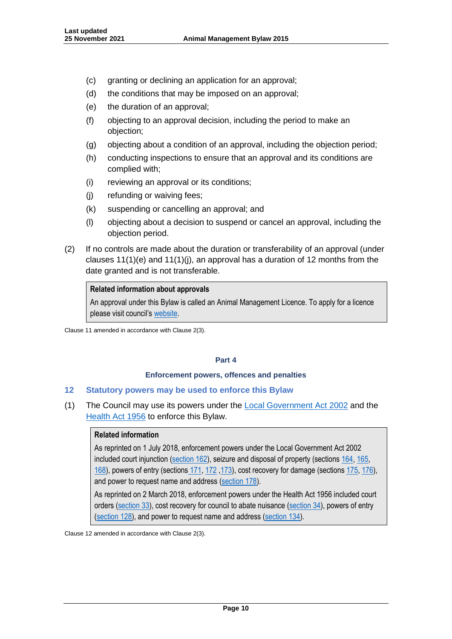- (c) granting or declining an application for an approval;
- (d) the conditions that may be imposed on an approval;
- (e) the duration of an approval;
- (f) objecting to an approval decision, including the period to make an objection;
- (g) objecting about a condition of an approval, including the objection period;
- (h) conducting inspections to ensure that an approval and its conditions are complied with;
- (i) reviewing an approval or its conditions;
- (j) refunding or waiving fees;
- (k) suspending or cancelling an approval; and
- (l) objecting about a decision to suspend or cancel an approval, including the objection period.
- (2) If no controls are made about the duration or transferability of an approval (under clauses 11(1)(e) and 11(1)(j), an approval has a duration of 12 months from the date granted and is not transferable.

#### **Related information about approvals**

An approval under this Bylaw is called an Animal Management Licence. To apply for a licence please visit council's [website.](https://www.aucklandcouncil.govt.nz/dogs-animals/keeping-other-animals/apply-for-an-animal-management-licence/Pages/default.aspx)

Clause 11 amended in accordance with Clause 2(3).

#### **Part 4**

#### **Enforcement powers, offences and penalties**

#### **12 Statutory powers may be used to enforce this Bylaw**

(1) The Council may use its powers under the [Local Government Act 2002](https://www.legislation.govt.nz/act/public/2002/0084/latest/DLM170873.html) and the [Health Act 1956](https://www.legislation.govt.nz/act/public/1956/0065/latest/whole.html) to enforce this Bylaw.

#### **Related information**

As reprinted on 1 July 2018, enforcement powers under the Local Government Act 2002 included court injunction [\(section 162\)](http://www.legislation.govt.nz/act/public/2002/0084/170.0/DLM173422.html), seizure and disposal of property (sections [164,](http://www.legislation.govt.nz/act/public/2002/0084/170.0/DLM173425.html) [165,](http://www.legislation.govt.nz/act/public/2002/0084/170.0/DLM173427.html) [168\)](http://www.legislation.govt.nz/act/public/2002/0084/170.0/DLM173431.html), powers of entry (sections [171,](http://www.legislation.govt.nz/act/public/2002/0084/170.0/DLM173445.html) [172](http://www.legislation.govt.nz/act/public/2002/0084/170.0/DLM173447.html) [,173\)](http://www.legislation.govt.nz/act/public/2002/0084/170.0/DLM173448.html), cost recovery for damage (sections [175,](http://www.legislation.govt.nz/act/public/2002/0084/170.0/DLM173450.html) [176\)](http://www.legislation.govt.nz/act/public/2002/0084/170.0/DLM173452.html), and power to request name and address [\(section 178\)](http://www.legislation.govt.nz/act/public/2002/0084/170.0/DLM173455.html).

As reprinted on 2 March 2018, enforcement powers under the Health Act 1956 included court orders [\(section 33\)](http://www.legislation.govt.nz/act/public/1956/0065/121.0/DLM306947.html), cost recovery for council to abate nuisance [\(section 34\)](http://www.legislation.govt.nz/act/public/1956/0065/121.0/DLM306949.html), powers of entry [\(section 128\)](http://www.legislation.govt.nz/act/public/1956/0065/121.0/DLM308490.html), and power to request name and address [\(section 134\)](http://www.legislation.govt.nz/act/public/1956/0065/121.0/DLM308717.html).

Clause 12 amended in accordance with Clause 2(3).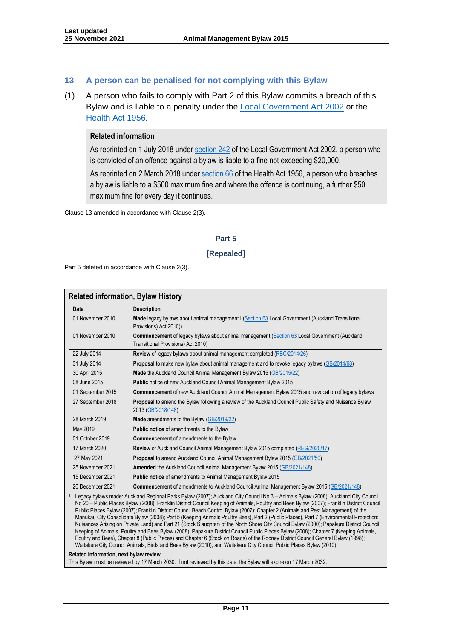#### **13 A person can be penalised for not complying with this Bylaw**

(1) A person who fails to comply with Part 2 of this Bylaw commits a breach of this Bylaw and is liable to a penalty under the **Local Government Act 2002** or the [Health Act 1956.](http://www.legislation.govt.nz/act/public/2002/0084/167.0/DLM174049.html)

#### **Related information**

As reprinted on 1 July 2018 unde[r section 242](http://www.legislation.govt.nz/act/public/2002/0084/167.0/DLM174049.html) of the Local Government Act 2002, a person who is convicted of an offence against a bylaw is liable to a fine not exceeding \$20,000.

As reprinted on 2 March 2018 unde[r section 66](http://www.legislation.govt.nz/act/public/1956/0065/121.0/DLM307074.html) of the Health Act 1956, a person who breaches a bylaw is liable to a \$500 maximum fine and where the offence is continuing, a further \$50 maximum fine for every day it continues.

Clause 13 amended in accordance with Clause 2(3).

#### **Part 5**

#### **[Repealed]**

Part 5 deleted in accordance with Clause 2(3).

#### **Related information, Bylaw History Date Description** 01 November 2010 **Made** legacy bylaws about animal management1 [\(Section 63](https://www.legislation.govt.nz/act/public/2010/0037/53.0/DLM3016748.html) Local Government (Auckland Transitional Provisions) Act 2010)) 01 November 2010 **Commencement** of legacy bylaws about animal management [\(Section 63](https://www.legislation.govt.nz/act/public/2010/0037/53.0/DLM3016748.html) Local Government (Auckland Transitional Provisions) Act 2010) 22 July 2014 **Review** of legacy bylaws about animal management completed [\(RBC/2014/26\)](https://infocouncil.aucklandcouncil.govt.nz/Open/2014/07/RBC_20140722_MIN_4680_WEB.HTM) 31 July 2014 **Proposal** to make new bylaw about animal management and to revoke legacy bylaws [\(GB/2014/68\)](https://infocouncil.aucklandcouncil.govt.nz/Open/2014/07/GB_20140731_MIN_4571_WEB.HTM) 30 April 2015 **Made** the Auckland Council Animal Management Bylaw 2015 [\(GB/2015/22\)](https://infocouncil.aucklandcouncil.govt.nz/Open/2015/04/GB_20150430_MIN_5790_WEB.HTM) 08 June 2015 **Public** notice of new Auckland Council Animal Management Bylaw 2015 01 September 2015 **Commencement** of new Auckland Council Animal Management Bylaw 2015 and revocation of legacy bylaws 27 September 2018 **Proposal** to amend the Bylaw following a review of the Auckland Council Public Safety and Nuisance Bylaw 2013 [\(GB/2018/148\)](https://infocouncil.aucklandcouncil.govt.nz/Open/2018/09/GB_20180927_MIN_6775_WEB.htm) 28 March 2019 **Made** amendments to the Bylaw [\(GB/2019/22\)](https://infocouncil.aucklandcouncil.govt.nz/Open/2019/03/GB_20190328_MIN_6781_WEB.htm) May 2019 **Public notice** of amendments to the Bylaw 01 October 2019 **Commencement** of amendments to the Bylaw 17 March 2020 **Review** of Auckland Council Animal Management Bylaw 2015 completed [\(REG/2020/17\)](https://infocouncil.aucklandcouncil.govt.nz/Open/2020/03/REG_20200317_MIN_9761_WEB.htm) 27 May 2021 **Proposal** to amend Auckland Council Animal Management Bylaw 2015 [\(GB/2021/50\)](https://infocouncil.aucklandcouncil.govt.nz/Open/2021/05/GB_20210527_MIN_10145_WEB.htm) 25 November 2021 **Amended** the Auckland Council Animal Management Bylaw 2015 [\(GB/2021/148\)](https://infocouncil.aucklandcouncil.govt.nz/Open/2021/11/GB_20211125_MIN_10138_WEB.htm) 15 December 2021 **Public notice** of amendments to Animal Management Bylaw 2015 20 December 2021 **Commencement** of amendments to Auckland Council Animal Management Bylaw 2015 [\(GB/2021/148\)](https://infocouncil.aucklandcouncil.govt.nz/Open/2021/11/GB_20211125_MIN_10138_WEB.htm) <sup>1</sup> Legacy bylaws made: Auckland Regional Parks Bylaw (2007); Auckland City Council No 3 – Animals Bylaw (2008); Auckland City Council No 20 – Public Places Bylaw (2008); Franklin District Council Keeping of Animals, Poultry and Bees Bylaw (2007); Franklin District Council Public Places Bylaw (2007); Franklin District Council Beach Control Bylaw (2007); Chapter 2 (Animals and Pest Management) of the Manukau City Consolidate Bylaw (2008); Part 5 (Keeping Animals Poultry Bees), Part 2 (Public Places), Part 7 (Environmental Protection: Nuisances Arising on Private Land) and Part 21 (Stock Slaughter) of the North Shore City Council Bylaw (2000); Papakura District Council Keeping of Animals, Poultry and Bees Bylaw (2008); Papakura District Council Public Places Bylaw (2008); Chapter 7 (Keeping Animals,

Poultry and Bees), Chapter 8 (Public Places) and Chapter 6 (Stock on Roads) of the Rodney District Council General Bylaw (1998); Waitakere City Council Animals, Birds and Bees Bylaw (2010); and Waitakere City Council Public Places Bylaw (2010).

#### **Related information, next bylaw review**

This Bylaw must be reviewed by 17 March 2030. If not reviewed by this date, the Bylaw will expire on 17 March 2032.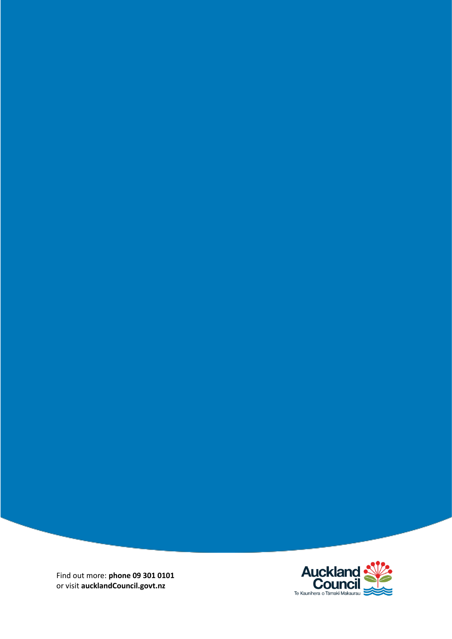Find out more: **phone 09 301 0101** or visit **aucklandCouncil.govt.nz**

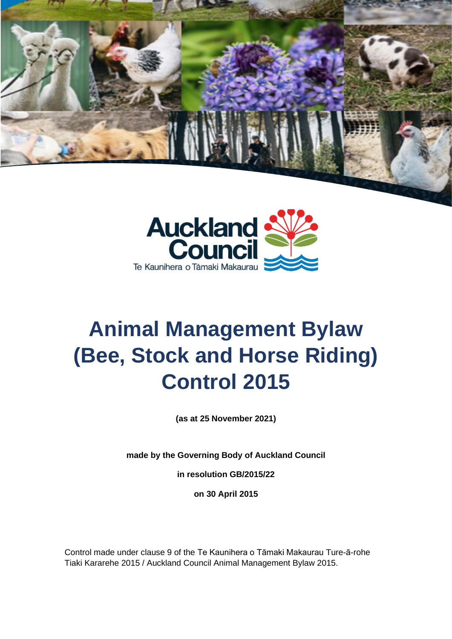



# **Animal Management Bylaw (Bee, Stock and Horse Riding) Control 2015**

**(as at 25 November 2021)**

**made by the Governing Body of Auckland Council**

**in resolution GB/2015/22**

**on 30 April 2015**

Control made under clause 9 of the Te Kaunihera o Tāmaki Makaurau Ture-ā-rohe Tiaki Kararehe 2015 / Auckland Council Animal Management Bylaw 2015.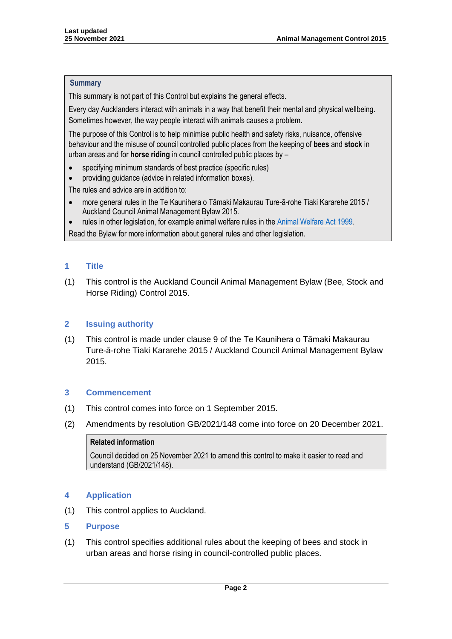#### **Summary**

This summary is not part of this Control but explains the general effects.

Every day Aucklanders interact with animals in a way that benefit their mental and physical wellbeing. Sometimes however, the way people interact with animals causes a problem.

The purpose of this Control is to help minimise public health and safety risks, nuisance, offensive behaviour and the misuse of council controlled public places from the keeping of **bees** and **stock** in urban areas and for **horse riding** in council controlled public places by –

- specifying minimum standards of best practice (specific rules)
- providing guidance (advice in related information boxes).

The rules and advice are in addition to:

- more general rules in the Te Kaunihera o Tāmaki Makaurau Ture-ā-rohe Tiaki Kararehe 2015 / Auckland Council Animal Management Bylaw 2015.
- rules in other legislation, for example animal welfare rules in the [Animal Welfare Act 1999.](https://www.legislation.govt.nz/act/public/1999/0142/latest/DLM49664.html)

Read the Bylaw for more information about general rules and other legislation.

## **1 Title**

(1) This control is the Auckland Council Animal Management Bylaw (Bee, Stock and Horse Riding) Control 2015.

## **2 Issuing authority**

(1) This control is made under clause 9 of the Te Kaunihera o Tāmaki Makaurau Ture-ā-rohe Tiaki Kararehe 2015 / Auckland Council Animal Management Bylaw 2015.

## **3 Commencement**

- (1) This control comes into force on 1 September 2015.
- (2) Amendments by resolution GB/2021/148 come into force on 20 December 2021.

## **Related information**

Council decided on 25 November 2021 to amend this control to make it easier to read and understand (GB/2021/148).

## **4 Application**

(1) This control applies to Auckland.

## **5 Purpose**

(1) This control specifies additional rules about the keeping of bees and stock in urban areas and horse rising in council-controlled public places.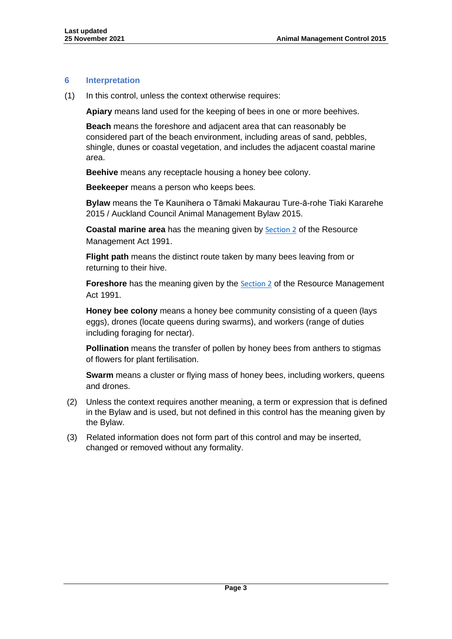## **6 Interpretation**

(1) In this control, unless the context otherwise requires:

**Apiary** means land used for the keeping of bees in one or more beehives.

**Beach** means the foreshore and adjacent area that can reasonably be considered part of the beach environment, including areas of sand, pebbles, shingle, dunes or coastal vegetation, and includes the adjacent coastal marine area.

**Beehive** means any receptacle housing a honey bee colony.

**Beekeeper** means a person who keeps bees.

**Bylaw** means the Te Kaunihera o Tāmaki Makaurau Ture-ā-rohe Tiaki Kararehe 2015 / Auckland Council Animal Management Bylaw 2015.

**Coastal marine area** has the meaning given by **[Section 2](https://www.legislation.govt.nz/act/public/1991/0069/latest/DLM230272.html)** of the Resource Management Act 1991.

**Flight path** means the distinct route taken by many bees leaving from or returning to their hive.

**Foreshore** has the meaning given by the [Section 2](https://www.legislation.govt.nz/act/public/1991/0069/latest/DLM230272.html) of the Resource Management Act 1991.

**Honey bee colony** means a honey bee community consisting of a queen (lays eggs), drones (locate queens during swarms), and workers (range of duties including foraging for nectar).

**Pollination** means the transfer of pollen by honey bees from anthers to stigmas of flowers for plant fertilisation.

**Swarm** means a cluster or flying mass of honey bees, including workers, queens and drones.

- (2) Unless the context requires another meaning, a term or expression that is defined in the Bylaw and is used, but not defined in this control has the meaning given by the Bylaw.
- (3) Related information does not form part of this control and may be inserted, changed or removed without any formality.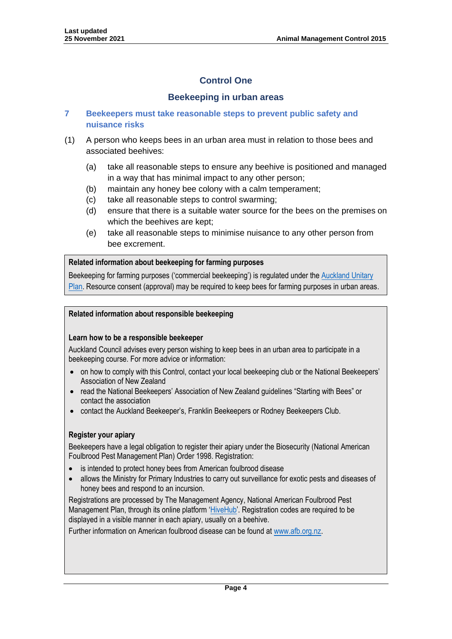# **Control One**

## **Beekeeping in urban areas**

## **7 Beekeepers must take reasonable steps to prevent public safety and nuisance risks**

- (1) A person who keeps bees in an urban area must in relation to those bees and associated beehives:
	- (a) take all reasonable steps to ensure any beehive is positioned and managed in a way that has minimal impact to any other person;
	- (b) maintain any honey bee colony with a calm temperament;
	- (c) take all reasonable steps to control swarming;
	- (d) ensure that there is a suitable water source for the bees on the premises on which the beehives are kept;
	- (e) take all reasonable steps to minimise nuisance to any other person from bee excrement.

## **Related information about beekeeping for farming purposes**

Beekeeping for farming purposes ('commercial beekeeping') is regulated under the [Auckland Unitary](https://unitaryplan.aucklandcouncil.govt.nz/pages/plan/Book.aspx?exhibit=AucklandUnitaryPlan_Print)  [Plan.](https://unitaryplan.aucklandcouncil.govt.nz/pages/plan/Book.aspx?exhibit=AucklandUnitaryPlan_Print) Resource consent (approval) may be required to keep bees for farming purposes in urban areas.

## **Related information about responsible beekeeping**

## **Learn how to be a responsible beekeeper**

Auckland Council advises every person wishing to keep bees in an urban area to participate in a beekeeping course. For more advice or information:

- on how to comply with this Control, contact your local beekeeping club or the National Beekeepers' Association of New Zealand
- read the National Beekeepers' Association of New Zealand guidelines "Starting with Bees" or contact the association
- contact the Auckland Beekeeper's, Franklin Beekeepers or Rodney Beekeepers Club.

## **Register your apiary**

Beekeepers have a legal obligation to register their apiary under the Biosecurity (National American Foulbrood Pest Management Plan) Order 1998. Registration:

- is intended to protect honey bees from American foulbrood disease
- allows the Ministry for Primary Industries to carry out surveillance for exotic pests and diseases of honey bees and respond to an incursion.

Registrations are processed by The Management Agency, National American Foulbrood Pest Management Plan, through its online platform '[HiveHub](https://afb.org.nz/hivehub/)'. Registration codes are required to be displayed in a visible manner in each apiary, usually on a beehive.

Further information on American foulbrood disease can be found a[t www.afb.org.nz.](http://www.afb.org.nz/)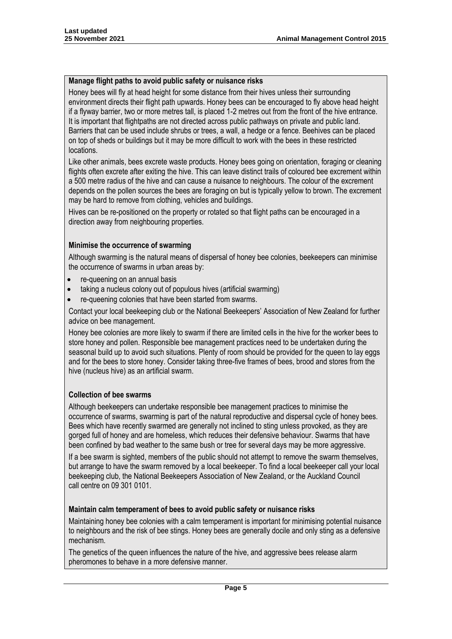#### **Manage flight paths to avoid public safety or nuisance risks**

Honey bees will fly at head height for some distance from their hives unless their surrounding environment directs their flight path upwards. Honey bees can be encouraged to fly above head height if a flyway barrier, two or more metres tall, is placed 1-2 metres out from the front of the hive entrance. It is important that flightpaths are not directed across public pathways on private and public land. Barriers that can be used include shrubs or trees, a wall, a hedge or a fence. Beehives can be placed on top of sheds or buildings but it may be more difficult to work with the bees in these restricted locations.

Like other animals, bees excrete waste products. Honey bees going on orientation, foraging or cleaning flights often excrete after exiting the hive. This can leave distinct trails of coloured bee excrement within a 500 metre radius of the hive and can cause a nuisance to neighbours. The colour of the excrement depends on the pollen sources the bees are foraging on but is typically yellow to brown. The excrement may be hard to remove from clothing, vehicles and buildings.

Hives can be re-positioned on the property or rotated so that flight paths can be encouraged in a direction away from neighbouring properties.

#### **Minimise the occurrence of swarming**

Although swarming is the natural means of dispersal of honey bee colonies, beekeepers can minimise the occurrence of swarms in urban areas by:

- re-queening on an annual basis
- taking a nucleus colony out of populous hives (artificial swarming)
- re-queening colonies that have been started from swarms.

Contact your local beekeeping club or the National Beekeepers' Association of New Zealand for further advice on bee management.

Honey bee colonies are more likely to swarm if there are limited cells in the hive for the worker bees to store honey and pollen. Responsible bee management practices need to be undertaken during the seasonal build up to avoid such situations. Plenty of room should be provided for the queen to lay eggs and for the bees to store honey. Consider taking three-five frames of bees, brood and stores from the hive (nucleus hive) as an artificial swarm.

## **Collection of bee swarms**

Although beekeepers can undertake responsible bee management practices to minimise the occurrence of swarms, swarming is part of the natural reproductive and dispersal cycle of honey bees. Bees which have recently swarmed are generally not inclined to sting unless provoked, as they are gorged full of honey and are homeless, which reduces their defensive behaviour. Swarms that have been confined by bad weather to the same bush or tree for several days may be more aggressive.

If a bee swarm is sighted, members of the public should not attempt to remove the swarm themselves, but arrange to have the swarm removed by a local beekeeper. To find a local beekeeper call your local beekeeping club, the National Beekeepers Association of New Zealand, or the Auckland Council call centre on 09 301 0101.

#### **Maintain calm temperament of bees to avoid public safety or nuisance risks**

Maintaining honey bee colonies with a calm temperament is important for minimising potential nuisance to neighbours and the risk of bee stings. Honey bees are generally docile and only sting as a defensive mechanism.

The genetics of the queen influences the nature of the hive, and aggressive bees release alarm pheromones to behave in a more defensive manner.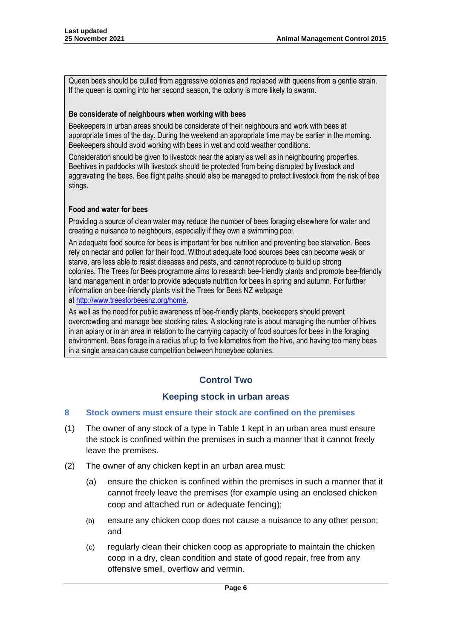Queen bees should be culled from aggressive colonies and replaced with queens from a gentle strain. If the queen is coming into her second season, the colony is more likely to swarm.

## **Be considerate of neighbours when working with bees**

Beekeepers in urban areas should be considerate of their neighbours and work with bees at appropriate times of the day. During the weekend an appropriate time may be earlier in the morning. Beekeepers should avoid working with bees in wet and cold weather conditions.

Consideration should be given to livestock near the apiary as well as in neighbouring properties. Beehives in paddocks with livestock should be protected from being disrupted by livestock and aggravating the bees. Bee flight paths should also be managed to protect livestock from the risk of bee stings.

## **Food and water for bees**

Providing a source of clean water may reduce the number of bees foraging elsewhere for water and creating a nuisance to neighbours, especially if they own a swimming pool.

An adequate food source for bees is important for bee nutrition and preventing bee starvation. Bees rely on nectar and pollen for their food. Without adequate food sources bees can become weak or starve, are less able to resist diseases and pests, and cannot reproduce to build up strong colonies. The Trees for Bees programme aims to research bee-friendly plants and promote bee-friendly land management in order to provide adequate nutrition for bees in spring and autumn. For further information on bee-friendly plants visit the Trees for Bees NZ webpage at [http://www.treesforbeesnz.org/home.](http://www.treesforbeesnz.org/home)

As well as the need for public awareness of bee-friendly plants, beekeepers should prevent overcrowding and manage bee stocking rates. A stocking rate is about managing the number of hives in an apiary or in an area in relation to the carrying capacity of food sources for bees in the foraging environment. Bees forage in a radius of up to five kilometres from the hive, and having too many bees in a single area can cause competition between honeybee colonies.

# **Control Two**

## **Keeping stock in urban areas**

## **8 Stock owners must ensure their stock are confined on the premises**

- (1) The owner of any stock of a type in Table 1 kept in an urban area must ensure the stock is confined within the premises in such a manner that it cannot freely leave the premises.
- (2) The owner of any chicken kept in an urban area must:
	- (a) ensure the chicken is confined within the premises in such a manner that it cannot freely leave the premises (for example using an enclosed chicken coop and attached run or adequate fencing);
	- (b) ensure any chicken coop does not cause a nuisance to any other person; and
	- (c) regularly clean their chicken coop as appropriate to maintain the chicken coop in a dry, clean condition and state of good repair, free from any offensive smell, overflow and vermin.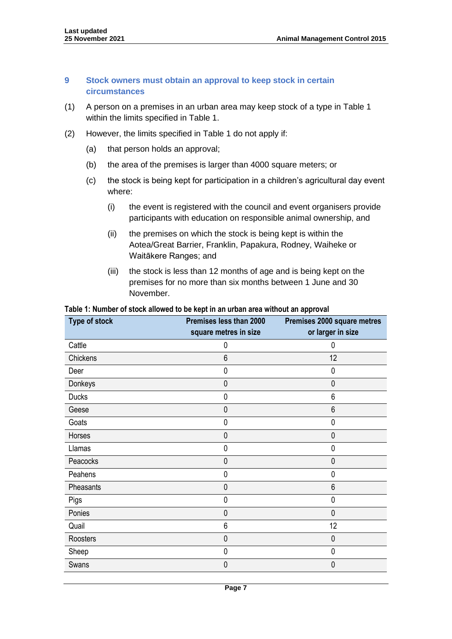## **9 Stock owners must obtain an approval to keep stock in certain circumstances**

- (1) A person on a premises in an urban area may keep stock of a type in Table 1 within the limits specified in Table 1.
- (2) However, the limits specified in Table 1 do not apply if:
	- (a) that person holds an approval;
	- (b) the area of the premises is larger than 4000 square meters; or
	- (c) the stock is being kept for participation in a children's agricultural day event where:
		- (i) the event is registered with the council and event organisers provide participants with education on responsible animal ownership, and
		- (ii) the premises on which the stock is being kept is within the Aotea/Great Barrier, Franklin, Papakura, Rodney, Waiheke or Waitākere Ranges; and
		- (iii) the stock is less than 12 months of age and is being kept on the premises for no more than six months between 1 June and 30 November.

#### **Table 1: Number of stock allowed to be kept in an urban area without an approval**

| <b>Type of stock</b> | Premises less than 2000 | Premises 2000 square metres |
|----------------------|-------------------------|-----------------------------|
|                      | square metres in size   | or larger in size           |
| Cattle               | 0                       | 0                           |
| Chickens             | 6                       | 12                          |
| Deer                 | 0                       | 0                           |
| Donkeys              | $\mathbf 0$             | $\mathbf{0}$                |
| <b>Ducks</b>         | 0                       | 6                           |
| Geese                | $\mathbf 0$             | 6                           |
| Goats                | 0                       | 0                           |
| Horses               | $\mathbf 0$             | 0                           |
| Llamas               | 0                       | 0                           |
| Peacocks             | $\mathbf{0}$            | $\mathbf{0}$                |
| Peahens              | 0                       | 0                           |
| Pheasants            | 0                       | 6                           |
| Pigs                 | $\mathbf 0$             | $\mathbf{0}$                |
| Ponies               | $\mathbf 0$             | $\mathbf{0}$                |
| Quail                | 6                       | 12                          |
| Roosters             | $\mathbf 0$             | 0                           |
| Sheep                | 0                       | 0                           |
| Swans                | $\mathbf 0$             | $\mathbf{0}$                |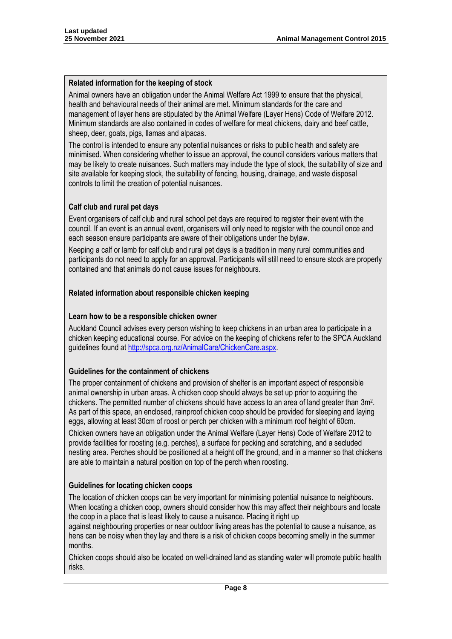#### **Related information for the keeping of stock**

Animal owners have an obligation under the Animal Welfare Act 1999 to ensure that the physical, health and behavioural needs of their animal are met. Minimum standards for the care and management of layer hens are stipulated by the Animal Welfare (Layer Hens) Code of Welfare 2012. Minimum standards are also contained in codes of welfare for meat chickens, dairy and beef cattle, sheep, deer, goats, pigs, llamas and alpacas.

The control is intended to ensure any potential nuisances or risks to public health and safety are minimised. When considering whether to issue an approval, the council considers various matters that may be likely to create nuisances. Such matters may include the type of stock, the suitability of size and site available for keeping stock, the suitability of fencing, housing, drainage, and waste disposal controls to limit the creation of potential nuisances.

## **Calf club and rural pet days**

Event organisers of calf club and rural school pet days are required to register their event with the council. If an event is an annual event, organisers will only need to register with the council once and each season ensure participants are aware of their obligations under the bylaw.

Keeping a calf or lamb for calf club and rural pet days is a tradition in many rural communities and participants do not need to apply for an approval. Participants will still need to ensure stock are properly contained and that animals do not cause issues for neighbours.

#### **Related information about responsible chicken keeping**

#### **Learn how to be a responsible chicken owner**

Auckland Council advises every person wishing to keep chickens in an urban area to participate in a chicken keeping educational course. For advice on the keeping of chickens refer to the SPCA Auckland guidelines found at [http://spca.org.nz/AnimalCare/ChickenCare.aspx.](http://spca.org.nz/AnimalCare/ChickenCare.aspx)

## **Guidelines for the containment of chickens**

The proper containment of chickens and provision of shelter is an important aspect of responsible animal ownership in urban areas. A chicken coop should always be set up prior to acquiring the chickens. The permitted number of chickens should have access to an area of land greater than 3m<sup>2</sup>. As part of this space, an enclosed, rainproof chicken coop should be provided for sleeping and laying eggs, allowing at least 30cm of roost or perch per chicken with a minimum roof height of 60cm.

Chicken owners have an obligation under the Animal Welfare (Layer Hens) Code of Welfare 2012 to provide facilities for roosting (e.g. perches), a surface for pecking and scratching, and a secluded nesting area. Perches should be positioned at a height off the ground, and in a manner so that chickens are able to maintain a natural position on top of the perch when roosting.

#### **Guidelines for locating chicken coops**

The location of chicken coops can be very important for minimising potential nuisance to neighbours. When locating a chicken coop, owners should consider how this may affect their neighbours and locate the coop in a place that is least likely to cause a nuisance. Placing it right up

against neighbouring properties or near outdoor living areas has the potential to cause a nuisance, as hens can be noisy when they lay and there is a risk of chicken coops becoming smelly in the summer months.

Chicken coops should also be located on well-drained land as standing water will promote public health risks.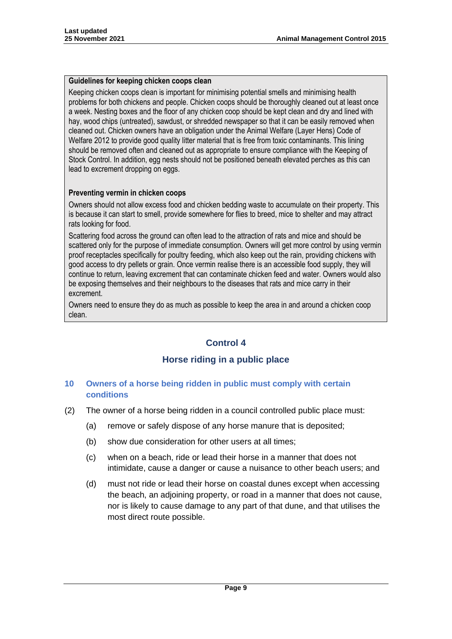#### **Guidelines for keeping chicken coops clean**

Keeping chicken coops clean is important for minimising potential smells and minimising health problems for both chickens and people. Chicken coops should be thoroughly cleaned out at least once a week. Nesting boxes and the floor of any chicken coop should be kept clean and dry and lined with hay, wood chips (untreated), sawdust, or shredded newspaper so that it can be easily removed when cleaned out. Chicken owners have an obligation under the Animal Welfare (Layer Hens) Code of Welfare 2012 to provide good quality litter material that is free from toxic contaminants. This lining should be removed often and cleaned out as appropriate to ensure compliance with the Keeping of Stock Control. In addition, egg nests should not be positioned beneath elevated perches as this can lead to excrement dropping on eggs.

## **Preventing vermin in chicken coops**

Owners should not allow excess food and chicken bedding waste to accumulate on their property. This is because it can start to smell, provide somewhere for flies to breed, mice to shelter and may attract rats looking for food.

Scattering food across the ground can often lead to the attraction of rats and mice and should be scattered only for the purpose of immediate consumption. Owners will get more control by using vermin proof receptacles specifically for poultry feeding, which also keep out the rain, providing chickens with good access to dry pellets or grain. Once vermin realise there is an accessible food supply, they will continue to return, leaving excrement that can contaminate chicken feed and water. Owners would also be exposing themselves and their neighbours to the diseases that rats and mice carry in their excrement.

Owners need to ensure they do as much as possible to keep the area in and around a chicken coop clean.

# **Control 4**

## **Horse riding in a public place**

## **10 Owners of a horse being ridden in public must comply with certain conditions**

- (2) The owner of a horse being ridden in a council controlled public place must:
	- (a) remove or safely dispose of any horse manure that is deposited;
	- (b) show due consideration for other users at all times;
	- (c) when on a beach, ride or lead their horse in a manner that does not intimidate, cause a danger or cause a nuisance to other beach users; and
	- (d) must not ride or lead their horse on coastal dunes except when accessing the beach, an adjoining property, or road in a manner that does not cause, nor is likely to cause damage to any part of that dune, and that utilises the most direct route possible.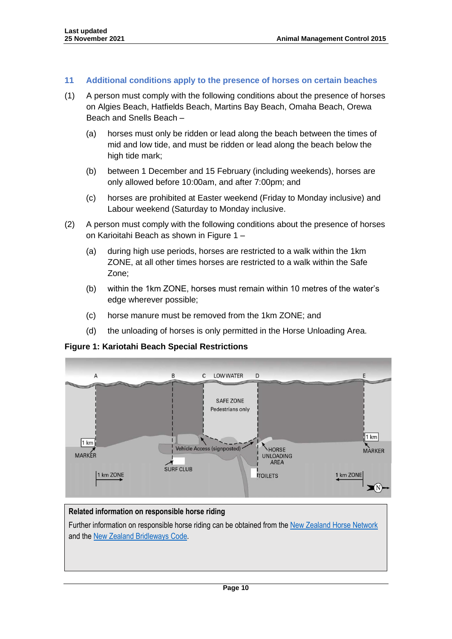#### **11 Additional conditions apply to the presence of horses on certain beaches**

- (1) A person must comply with the following conditions about the presence of horses on Algies Beach, Hatfields Beach, Martins Bay Beach, Omaha Beach, Orewa Beach and Snells Beach –
	- (a) horses must only be ridden or lead along the beach between the times of mid and low tide, and must be ridden or lead along the beach below the high tide mark;
	- (b) between 1 December and 15 February (including weekends), horses are only allowed before 10:00am, and after 7:00pm; and
	- (c) horses are prohibited at Easter weekend (Friday to Monday inclusive) and Labour weekend (Saturday to Monday inclusive.
- (2) A person must comply with the following conditions about the presence of horses on Karioitahi Beach as shown in Figure 1 –
	- (a) during high use periods, horses are restricted to a walk within the 1km ZONE, at all other times horses are restricted to a walk within the Safe Zone;
	- (b) within the 1km ZONE, horses must remain within 10 metres of the water's edge wherever possible;
	- (c) horse manure must be removed from the 1km ZONE; and
	- (d) the unloading of horses is only permitted in the Horse Unloading Area.

**Figure 1: Kariotahi Beach Special Restrictions**



## **Related information on responsible horse riding**

Further information on responsible horse riding can be obtained from the [New Zealand Horse Network](http://www.nzhorseriders.info/) and the [New Zealand Bridleways Code.](http://www.nzbridleways.info/)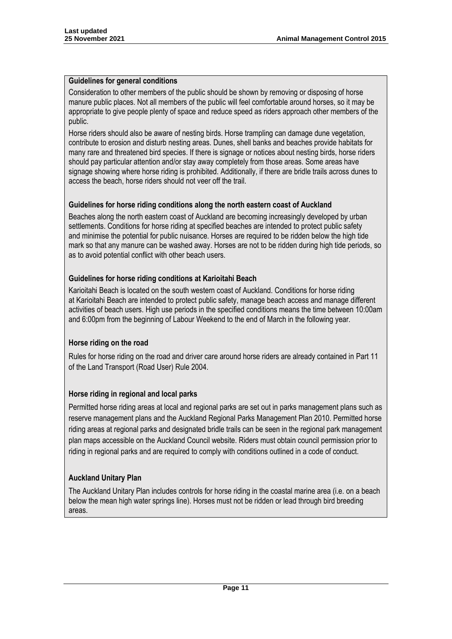#### **Guidelines for general conditions**

Consideration to other members of the public should be shown by removing or disposing of horse manure public places. Not all members of the public will feel comfortable around horses, so it may be appropriate to give people plenty of space and reduce speed as riders approach other members of the public.

Horse riders should also be aware of nesting birds. Horse trampling can damage dune vegetation, contribute to erosion and disturb nesting areas. Dunes, shell banks and beaches provide habitats for many rare and threatened bird species. If there is signage or notices about nesting birds, horse riders should pay particular attention and/or stay away completely from those areas. Some areas have signage showing where horse riding is prohibited. Additionally, if there are bridle trails across dunes to access the beach, horse riders should not veer off the trail.

## **Guidelines for horse riding conditions along the north eastern coast of Auckland**

Beaches along the north eastern coast of Auckland are becoming increasingly developed by urban settlements. Conditions for horse riding at specified beaches are intended to protect public safety and minimise the potential for public nuisance. Horses are required to be ridden below the high tide mark so that any manure can be washed away. Horses are not to be ridden during high tide periods, so as to avoid potential conflict with other beach users.

## **Guidelines for horse riding conditions at Karioitahi Beach**

Karioitahi Beach is located on the south western coast of Auckland. Conditions for horse riding at Karioitahi Beach are intended to protect public safety, manage beach access and manage different activities of beach users. High use periods in the specified conditions means the time between 10:00am and 6:00pm from the beginning of Labour Weekend to the end of March in the following year.

## **Horse riding on the road**

Rules for horse riding on the road and driver care around horse riders are already contained in Part 11 of the Land Transport (Road User) Rule 2004.

## **Horse riding in regional and local parks**

Permitted horse riding areas at local and regional parks are set out in parks management plans such as reserve management plans and the Auckland Regional Parks Management Plan 2010. Permitted horse riding areas at regional parks and designated bridle trails can be seen in the regional park management plan maps accessible on the Auckland Council website. Riders must obtain council permission prior to riding in regional parks and are required to comply with conditions outlined in a code of conduct.

## **Auckland Unitary Plan**

The Auckland Unitary Plan includes controls for horse riding in the coastal marine area (i.e. on a beach below the mean high water springs line). Horses must not be ridden or lead through bird breeding areas.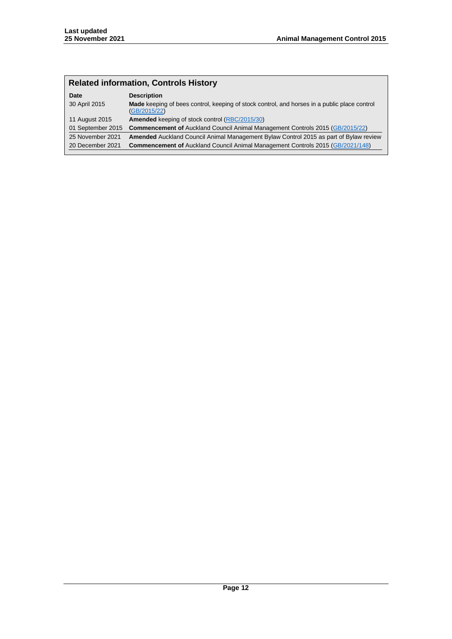# **Related information, Controls History**

| Date              | <b>Description</b>                                                                                           |
|-------------------|--------------------------------------------------------------------------------------------------------------|
| 30 April 2015     | Made keeping of bees control, keeping of stock control, and horses in a public place control<br>(GB/2015/22) |
| 11 August 2015    | <b>Amended</b> keeping of stock control (RBC/2015/30)                                                        |
| 01 September 2015 | <b>Commencement of Auckland Council Animal Management Controls 2015 (GB/2015/22)</b>                         |
| 25 November 2021  | <b>Amended</b> Auckland Council Animal Management Bylaw Control 2015 as part of Bylaw review                 |
| 20 December 2021  | <b>Commencement of Auckland Council Animal Management Controls 2015 (GB/2021/148)</b>                        |